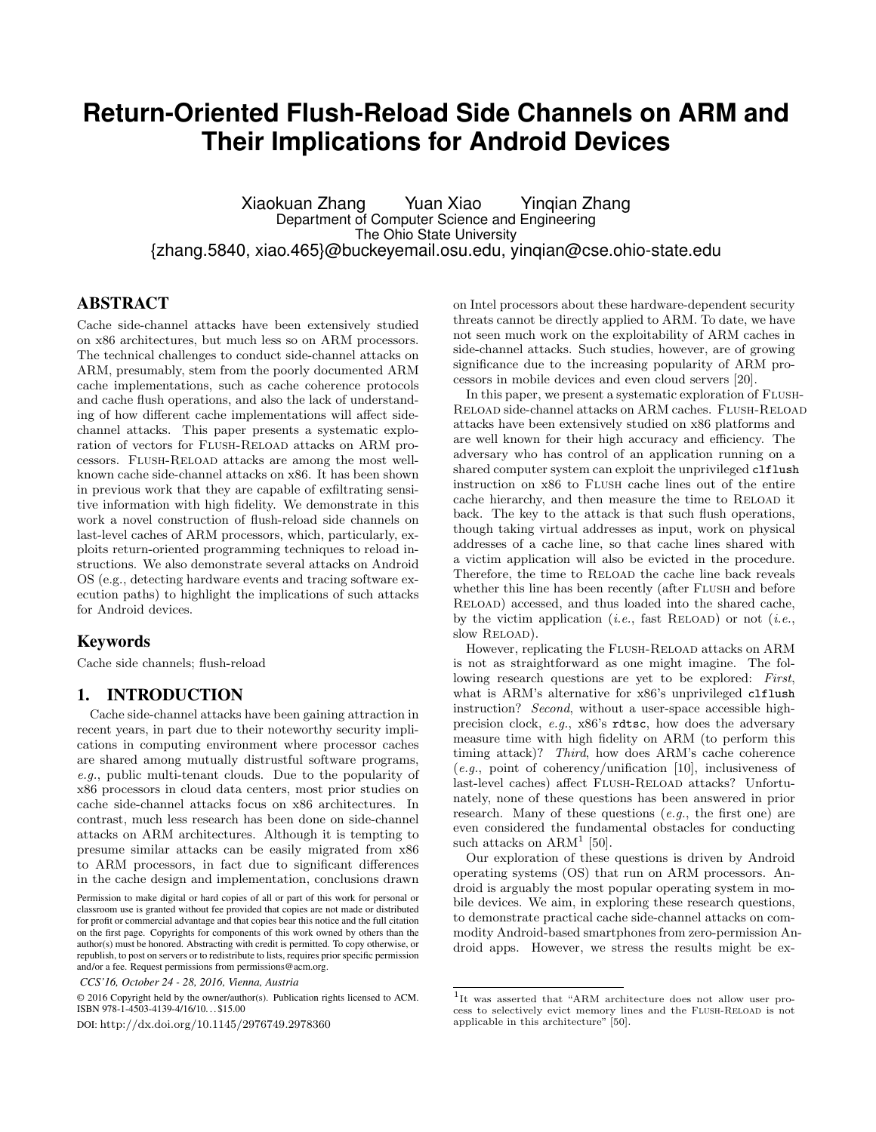# **Return-Oriented Flush-Reload Side Channels on ARM and Their Implications for Android Devices**

Xiaokuan Zhang Yuan Xiao Yinqian Zhang Department of Computer Science and Engineering The Ohio State University {zhang.5840, xiao.465}@buckeyemail.osu.edu, yinqian@cse.ohio-state.edu

## ABSTRACT

Cache side-channel attacks have been extensively studied on x86 architectures, but much less so on ARM processors. The technical challenges to conduct side-channel attacks on ARM, presumably, stem from the poorly documented ARM cache implementations, such as cache coherence protocols and cache flush operations, and also the lack of understanding of how different cache implementations will affect sidechannel attacks. This paper presents a systematic exploration of vectors for Flush-Reload attacks on ARM processors. Flush-Reload attacks are among the most wellknown cache side-channel attacks on x86. It has been shown in previous work that they are capable of exfiltrating sensitive information with high fidelity. We demonstrate in this work a novel construction of flush-reload side channels on last-level caches of ARM processors, which, particularly, exploits return-oriented programming techniques to reload instructions. We also demonstrate several attacks on Android OS (e.g., detecting hardware events and tracing software execution paths) to highlight the implications of such attacks for Android devices.

#### Keywords

Cache side channels; flush-reload

#### 1. INTRODUCTION

Cache side-channel attacks have been gaining attraction in recent years, in part due to their noteworthy security implications in computing environment where processor caches are shared among mutually distrustful software programs, e.g., public multi-tenant clouds. Due to the popularity of x86 processors in cloud data centers, most prior studies on cache side-channel attacks focus on x86 architectures. In contrast, much less research has been done on side-channel attacks on ARM architectures. Although it is tempting to presume similar attacks can be easily migrated from x86 to ARM processors, in fact due to significant differences in the cache design and implementation, conclusions drawn

© 2016 Copyright held by the owner/author(s). Publication rights licensed to ACM. ISBN 978-1-4503-4139-4/16/10. . . \$15.00

DOI: http://dx.doi.org/10.1145/2976749.2978360

on Intel processors about these hardware-dependent security threats cannot be directly applied to ARM. To date, we have not seen much work on the exploitability of ARM caches in side-channel attacks. Such studies, however, are of growing significance due to the increasing popularity of ARM processors in mobile devices and even cloud servers [20].

In this paper, we present a systematic exploration of FLUSH-Reload side-channel attacks on ARM caches. Flush-Reload attacks have been extensively studied on x86 platforms and are well known for their high accuracy and efficiency. The adversary who has control of an application running on a shared computer system can exploit the unprivileged clflush instruction on x86 to Flush cache lines out of the entire cache hierarchy, and then measure the time to RELOAD it back. The key to the attack is that such flush operations, though taking virtual addresses as input, work on physical addresses of a cache line, so that cache lines shared with a victim application will also be evicted in the procedure. Therefore, the time to RELOAD the cache line back reveals whether this line has been recently (after FLUSH and before Reload) accessed, and thus loaded into the shared cache, by the victim application (*i.e.*, fast RELOAD) or not (*i.e.*, slow RELOAD).

However, replicating the Flush-Reload attacks on ARM is not as straightforward as one might imagine. The following research questions are yet to be explored: First, what is ARM's alternative for  $x86'$ s unprivileged clflush instruction? Second, without a user-space accessible highprecision clock, e.g., x86's rdtsc, how does the adversary measure time with high fidelity on ARM (to perform this timing attack)? Third, how does ARM's cache coherence (e.g., point of coherency/unification [10], inclusiveness of last-level caches) affect FLUSH-RELOAD attacks? Unfortunately, none of these questions has been answered in prior research. Many of these questions  $(e.g., the first one)$  are even considered the fundamental obstacles for conducting such attacks on  $ARM<sup>1</sup>$  [50].

Our exploration of these questions is driven by Android operating systems (OS) that run on ARM processors. Android is arguably the most popular operating system in mobile devices. We aim, in exploring these research questions, to demonstrate practical cache side-channel attacks on commodity Android-based smartphones from zero-permission Android apps. However, we stress the results might be ex-

Permission to make digital or hard copies of all or part of this work for personal or classroom use is granted without fee provided that copies are not made or distributed for profit or commercial advantage and that copies bear this notice and the full citation on the first page. Copyrights for components of this work owned by others than the author(s) must be honored. Abstracting with credit is permitted. To copy otherwise, or republish, to post on servers or to redistribute to lists, requires prior specific permission and/or a fee. Request permissions from permissions@acm.org.

*CCS'16, October 24 - 28, 2016, Vienna, Austria*

<sup>1</sup> It was asserted that "ARM architecture does not allow user process to selectively evict memory lines and the Flush-Reload is not applicable in this architecture" [50].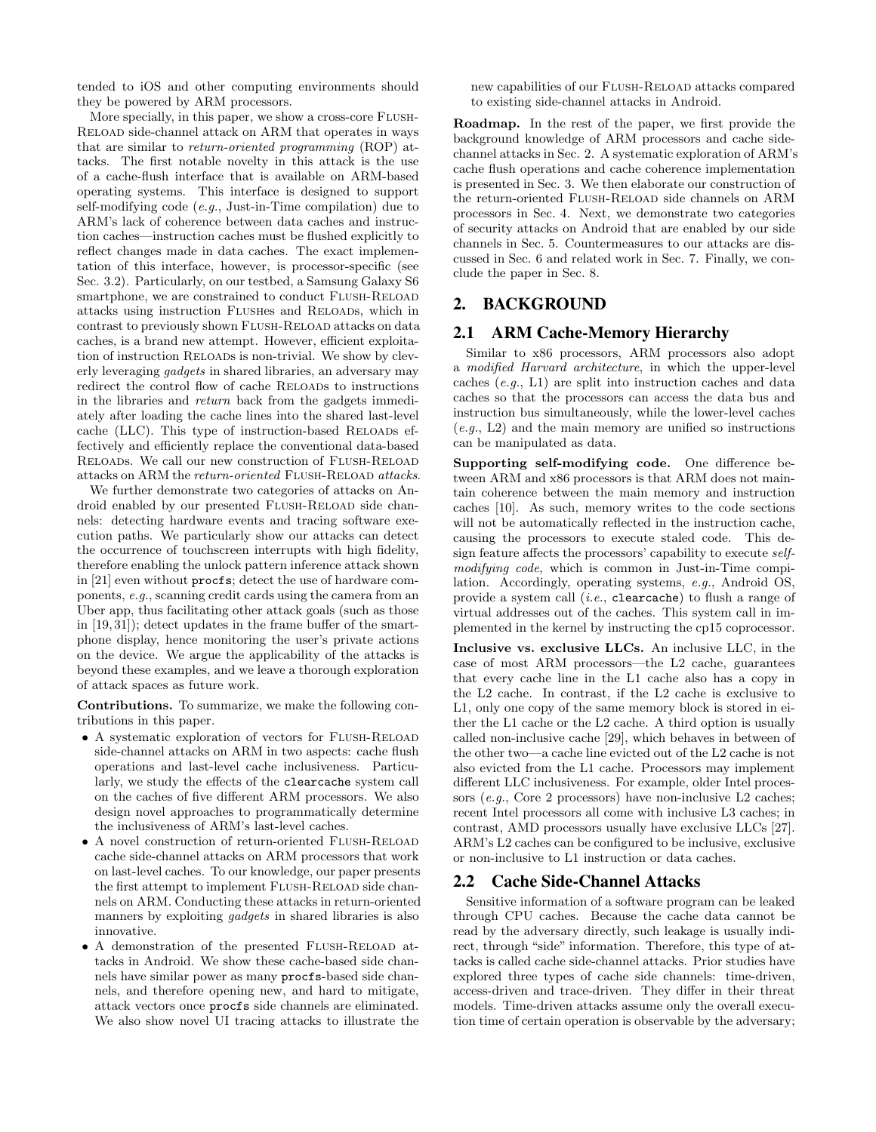tended to iOS and other computing environments should they be powered by ARM processors.

More specially, in this paper, we show a cross-core FLUSH-Reload side-channel attack on ARM that operates in ways that are similar to return-oriented programming (ROP) attacks. The first notable novelty in this attack is the use of a cache-flush interface that is available on ARM-based operating systems. This interface is designed to support self-modifying code (e.g., Just-in-Time compilation) due to ARM's lack of coherence between data caches and instruction caches—instruction caches must be flushed explicitly to reflect changes made in data caches. The exact implementation of this interface, however, is processor-specific (see Sec. 3.2). Particularly, on our testbed, a Samsung Galaxy S6 smartphone, we are constrained to conduct FLUSH-RELOAD attacks using instruction Flushes and Reloads, which in contrast to previously shown Flush-Reload attacks on data caches, is a brand new attempt. However, efficient exploitation of instruction Reloads is non-trivial. We show by cleverly leveraging gadgets in shared libraries, an adversary may redirect the control flow of cache RELOADs to instructions in the libraries and return back from the gadgets immediately after loading the cache lines into the shared last-level cache (LLC). This type of instruction-based RELOADs effectively and efficiently replace the conventional data-based RELOADS. We call our new construction of FLUSH-RELOAD attacks on ARM the return-oriented FLUSH-RELOAD attacks.

We further demonstrate two categories of attacks on Android enabled by our presented Flush-Reload side channels: detecting hardware events and tracing software execution paths. We particularly show our attacks can detect the occurrence of touchscreen interrupts with high fidelity, therefore enabling the unlock pattern inference attack shown in [21] even without procfs; detect the use of hardware components, e.g., scanning credit cards using the camera from an Uber app, thus facilitating other attack goals (such as those in [19, 31]); detect updates in the frame buffer of the smartphone display, hence monitoring the user's private actions on the device. We argue the applicability of the attacks is beyond these examples, and we leave a thorough exploration of attack spaces as future work.

Contributions. To summarize, we make the following contributions in this paper.

- A systematic exploration of vectors for FLUSH-RELOAD side-channel attacks on ARM in two aspects: cache flush operations and last-level cache inclusiveness. Particularly, we study the effects of the clearcache system call on the caches of five different ARM processors. We also design novel approaches to programmatically determine the inclusiveness of ARM's last-level caches.
- A novel construction of return-oriented FLUSH-RELOAD cache side-channel attacks on ARM processors that work on last-level caches. To our knowledge, our paper presents the first attempt to implement FLUSH-RELOAD side channels on ARM. Conducting these attacks in return-oriented manners by exploiting *gadgets* in shared libraries is also innovative.
- A demonstration of the presented FLUSH-RELOAD attacks in Android. We show these cache-based side channels have similar power as many procfs-based side channels, and therefore opening new, and hard to mitigate, attack vectors once procfs side channels are eliminated. We also show novel UI tracing attacks to illustrate the

new capabilities of our Flush-Reload attacks compared to existing side-channel attacks in Android.

Roadmap. In the rest of the paper, we first provide the background knowledge of ARM processors and cache sidechannel attacks in Sec. 2. A systematic exploration of ARM's cache flush operations and cache coherence implementation is presented in Sec. 3. We then elaborate our construction of the return-oriented Flush-Reload side channels on ARM processors in Sec. 4. Next, we demonstrate two categories of security attacks on Android that are enabled by our side channels in Sec. 5. Countermeasures to our attacks are discussed in Sec. 6 and related work in Sec. 7. Finally, we conclude the paper in Sec. 8.

## 2. BACKGROUND

#### 2.1 ARM Cache-Memory Hierarchy

Similar to x86 processors, ARM processors also adopt a modified Harvard architecture, in which the upper-level caches (e.g., L1) are split into instruction caches and data caches so that the processors can access the data bus and instruction bus simultaneously, while the lower-level caches  $(e.g., L2)$  and the main memory are unified so instructions can be manipulated as data.

Supporting self-modifying code. One difference between ARM and x86 processors is that ARM does not maintain coherence between the main memory and instruction caches [10]. As such, memory writes to the code sections will not be automatically reflected in the instruction cache, causing the processors to execute staled code. This design feature affects the processors' capability to execute selfmodifying code, which is common in Just-in-Time compilation. Accordingly, operating systems, e.g., Android OS, provide a system call  $(i.e., \text{clearcache})$  to flush a range of virtual addresses out of the caches. This system call in implemented in the kernel by instructing the cp15 coprocessor.

Inclusive vs. exclusive LLCs. An inclusive LLC, in the case of most ARM processors—the L2 cache, guarantees that every cache line in the L1 cache also has a copy in the L2 cache. In contrast, if the L2 cache is exclusive to L1, only one copy of the same memory block is stored in either the L1 cache or the L2 cache. A third option is usually called non-inclusive cache [29], which behaves in between of the other two—a cache line evicted out of the L2 cache is not also evicted from the L1 cache. Processors may implement different LLC inclusiveness. For example, older Intel processors (e.g., Core 2 processors) have non-inclusive L2 caches; recent Intel processors all come with inclusive L3 caches; in contrast, AMD processors usually have exclusive LLCs [27]. ARM's L2 caches can be configured to be inclusive, exclusive or non-inclusive to L1 instruction or data caches.

## 2.2 Cache Side-Channel Attacks

Sensitive information of a software program can be leaked through CPU caches. Because the cache data cannot be read by the adversary directly, such leakage is usually indirect, through "side" information. Therefore, this type of attacks is called cache side-channel attacks. Prior studies have explored three types of cache side channels: time-driven, access-driven and trace-driven. They differ in their threat models. Time-driven attacks assume only the overall execution time of certain operation is observable by the adversary;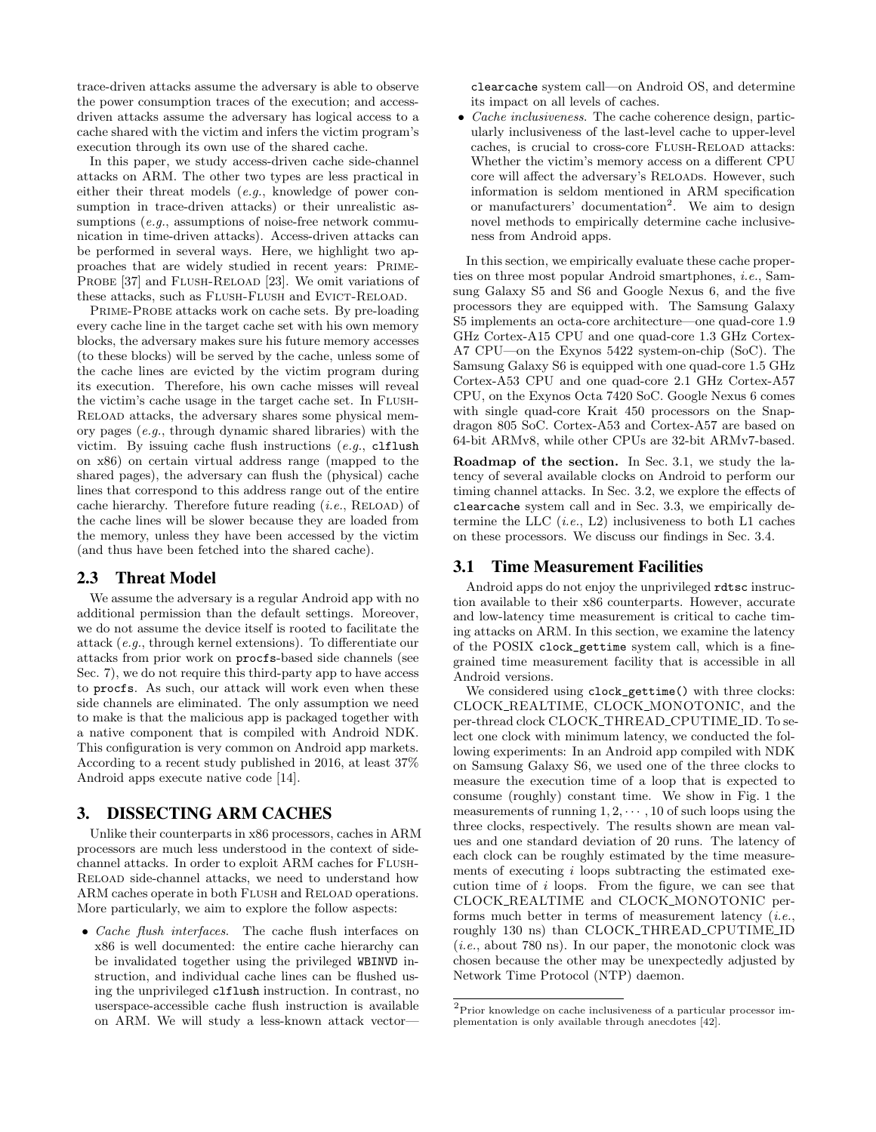trace-driven attacks assume the adversary is able to observe the power consumption traces of the execution; and accessdriven attacks assume the adversary has logical access to a cache shared with the victim and infers the victim program's execution through its own use of the shared cache.

In this paper, we study access-driven cache side-channel attacks on ARM. The other two types are less practical in either their threat models (e.g., knowledge of power consumption in trace-driven attacks) or their unrealistic assumptions (e.g., assumptions of noise-free network communication in time-driven attacks). Access-driven attacks can be performed in several ways. Here, we highlight two approaches that are widely studied in recent years: Prime-PROBE [37] and FLUSH-RELOAD [23]. We omit variations of these attacks, such as FLUSH-FLUSH and EVICT-RELOAD.

Prime-Probe attacks work on cache sets. By pre-loading every cache line in the target cache set with his own memory blocks, the adversary makes sure his future memory accesses (to these blocks) will be served by the cache, unless some of the cache lines are evicted by the victim program during its execution. Therefore, his own cache misses will reveal the victim's cache usage in the target cache set. In FLUSH-Reload attacks, the adversary shares some physical memory pages (e.g., through dynamic shared libraries) with the victim. By issuing cache flush instructions  $(e.q., cIf$ lush on x86) on certain virtual address range (mapped to the shared pages), the adversary can flush the (physical) cache lines that correspond to this address range out of the entire cache hierarchy. Therefore future reading  $(i.e., RELOAD)$  of the cache lines will be slower because they are loaded from the memory, unless they have been accessed by the victim (and thus have been fetched into the shared cache).

#### 2.3 Threat Model

We assume the adversary is a regular Android app with no additional permission than the default settings. Moreover, we do not assume the device itself is rooted to facilitate the attack (e.g., through kernel extensions). To differentiate our attacks from prior work on procfs-based side channels (see Sec. 7), we do not require this third-party app to have access to procfs. As such, our attack will work even when these side channels are eliminated. The only assumption we need to make is that the malicious app is packaged together with a native component that is compiled with Android NDK. This configuration is very common on Android app markets. According to a recent study published in 2016, at least 37% Android apps execute native code [14].

### 3. DISSECTING ARM CACHES

Unlike their counterparts in x86 processors, caches in ARM processors are much less understood in the context of sidechannel attacks. In order to exploit ARM caches for FLUSH-Reload side-channel attacks, we need to understand how ARM caches operate in both FLUSH and RELOAD operations. More particularly, we aim to explore the follow aspects:

• *Cache flush interfaces*. The cache flush interfaces on x86 is well documented: the entire cache hierarchy can be invalidated together using the privileged WBINVD instruction, and individual cache lines can be flushed using the unprivileged clflush instruction. In contrast, no userspace-accessible cache flush instruction is available on ARM. We will study a less-known attack vectorclearcache system call—on Android OS, and determine its impact on all levels of caches.

• Cache inclusiveness. The cache coherence design, particularly inclusiveness of the last-level cache to upper-level caches, is crucial to cross-core Flush-Reload attacks: Whether the victim's memory access on a different CPU core will affect the adversary's RELOADS. However, such information is seldom mentioned in ARM specification or manufacturers' documentation<sup>2</sup>. We aim to design novel methods to empirically determine cache inclusiveness from Android apps.

In this section, we empirically evaluate these cache properties on three most popular Android smartphones, i.e., Samsung Galaxy S5 and S6 and Google Nexus 6, and the five processors they are equipped with. The Samsung Galaxy S5 implements an octa-core architecture—one quad-core 1.9 GHz Cortex-A15 CPU and one quad-core 1.3 GHz Cortex-A7 CPU—on the Exynos 5422 system-on-chip (SoC). The Samsung Galaxy S6 is equipped with one quad-core 1.5 GHz Cortex-A53 CPU and one quad-core 2.1 GHz Cortex-A57 CPU, on the Exynos Octa 7420 SoC. Google Nexus 6 comes with single quad-core Krait 450 processors on the Snapdragon 805 SoC. Cortex-A53 and Cortex-A57 are based on 64-bit ARMv8, while other CPUs are 32-bit ARMv7-based.

Roadmap of the section. In Sec. 3.1, we study the latency of several available clocks on Android to perform our timing channel attacks. In Sec. 3.2, we explore the effects of clearcache system call and in Sec. 3.3, we empirically determine the LLC  $(i.e., L2)$  inclusiveness to both L1 caches on these processors. We discuss our findings in Sec. 3.4.

#### 3.1 Time Measurement Facilities

Android apps do not enjoy the unprivileged rdtsc instruction available to their x86 counterparts. However, accurate and low-latency time measurement is critical to cache timing attacks on ARM. In this section, we examine the latency of the POSIX clock\_gettime system call, which is a finegrained time measurement facility that is accessible in all Android versions.

We considered using clock\_gettime() with three clocks: CLOCK REALTIME, CLOCK MONOTONIC, and the per-thread clock CLOCK THREAD CPUTIME ID. To select one clock with minimum latency, we conducted the following experiments: In an Android app compiled with NDK on Samsung Galaxy S6, we used one of the three clocks to measure the execution time of a loop that is expected to consume (roughly) constant time. We show in Fig. 1 the measurements of running  $1, 2, \dots, 10$  of such loops using the three clocks, respectively. The results shown are mean values and one standard deviation of 20 runs. The latency of each clock can be roughly estimated by the time measurements of executing i loops subtracting the estimated execution time of  $i$  loops. From the figure, we can see that CLOCK REALTIME and CLOCK MONOTONIC performs much better in terms of measurement latency  $(i.e.,$ roughly 130 ns) than CLOCK THREAD CPUTIME ID  $(i.e., about 780 \text{ ns})$ . In our paper, the monotonic clock was chosen because the other may be unexpectedly adjusted by Network Time Protocol (NTP) daemon.

 $^2\rm{Prior}$  knowledge on cache inclusiveness of a particular processor implementation is only available through anecdotes [42].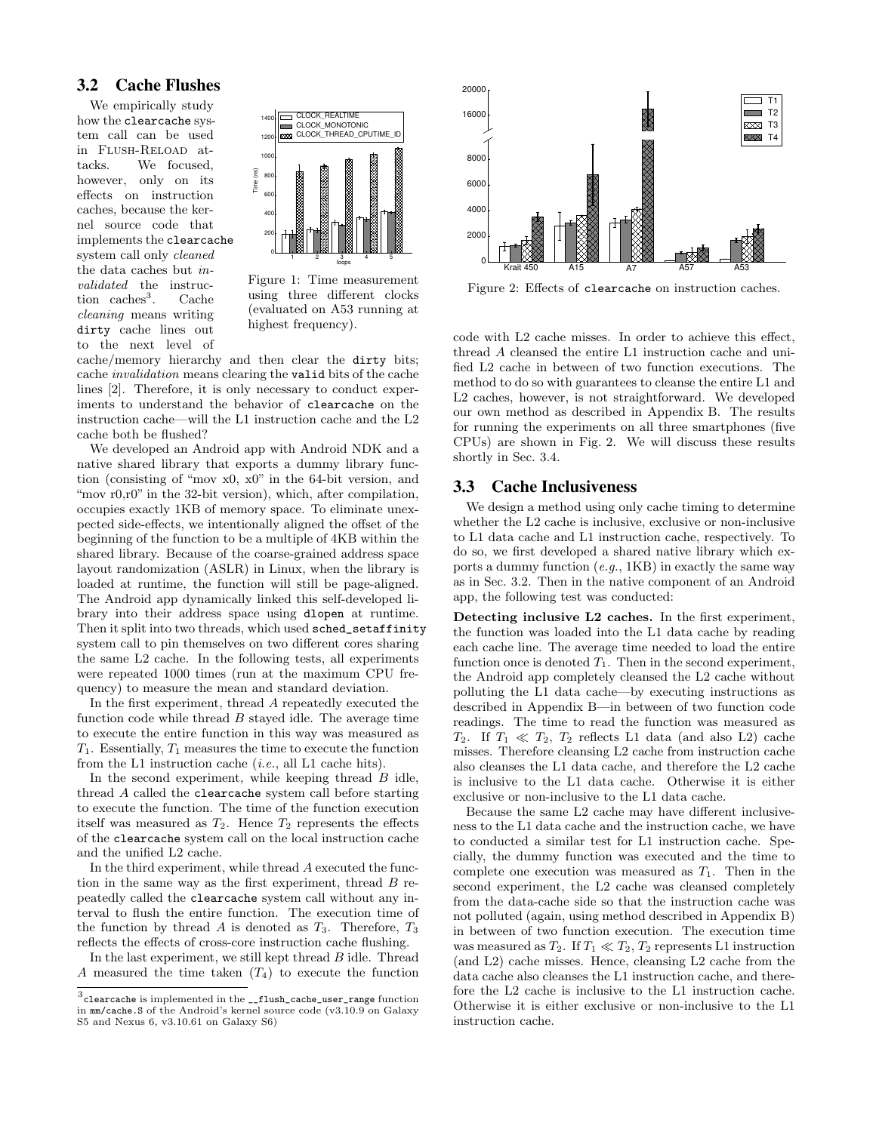## 3.2 Cache Flushes

We empirically study how the clearcache system call can be used in Flush-Reload attacks. We focused, however, only on its effects on instruction caches, because the kernel source code that implements the clearcache system call only cleaned the data caches but invalidated the instruction  $\,\mathrm{caches}^3$ . . Cache cleaning means writing dirty cache lines out to the next level of



Figure 1: Time measurement using three different clocks (evaluated on A53 running at highest frequency).

cache/memory hierarchy and then clear the dirty bits; cache invalidation means clearing the valid bits of the cache lines [2]. Therefore, it is only necessary to conduct experiments to understand the behavior of clearcache on the instruction cache—will the L1 instruction cache and the L2 cache both be flushed?

We developed an Android app with Android NDK and a native shared library that exports a dummy library function (consisting of "mov x0, x0" in the 64-bit version, and "mov r0,r0" in the 32-bit version), which, after compilation, occupies exactly 1KB of memory space. To eliminate unexpected side-effects, we intentionally aligned the offset of the beginning of the function to be a multiple of 4KB within the shared library. Because of the coarse-grained address space layout randomization (ASLR) in Linux, when the library is loaded at runtime, the function will still be page-aligned. The Android app dynamically linked this self-developed library into their address space using dlopen at runtime. Then it split into two threads, which used sched\_setaffinity system call to pin themselves on two different cores sharing the same L2 cache. In the following tests, all experiments were repeated 1000 times (run at the maximum CPU frequency) to measure the mean and standard deviation.

In the first experiment, thread A repeatedly executed the function code while thread  $B$  stayed idle. The average time to execute the entire function in this way was measured as  $T_1$ . Essentially,  $T_1$  measures the time to execute the function from the L1 instruction cache (i.e., all L1 cache hits).

In the second experiment, while keeping thread  $B$  idle, thread A called the clearcache system call before starting to execute the function. The time of the function execution itself was measured as  $T_2$ . Hence  $T_2$  represents the effects of the clearcache system call on the local instruction cache and the unified L2 cache.

In the third experiment, while thread A executed the function in the same way as the first experiment, thread B repeatedly called the clearcache system call without any interval to flush the entire function. The execution time of the function by thread  $A$  is denoted as  $T_3$ . Therefore,  $T_3$ reflects the effects of cross-core instruction cache flushing.

In the last experiment, we still kept thread  $B$  idle. Thread A measured the time taken  $(T_4)$  to execute the function



Figure 2: Effects of clearcache on instruction caches.

code with L2 cache misses. In order to achieve this effect, thread A cleansed the entire L1 instruction cache and unified L2 cache in between of two function executions. The method to do so with guarantees to cleanse the entire L1 and L2 caches, however, is not straightforward. We developed our own method as described in Appendix B. The results for running the experiments on all three smartphones (five CPUs) are shown in Fig. 2. We will discuss these results shortly in Sec. 3.4.

#### 3.3 Cache Inclusiveness

We design a method using only cache timing to determine whether the L2 cache is inclusive, exclusive or non-inclusive to L1 data cache and L1 instruction cache, respectively. To do so, we first developed a shared native library which exports a dummy function  $(e.g., 1KB)$  in exactly the same way as in Sec. 3.2. Then in the native component of an Android app, the following test was conducted:

Detecting inclusive L2 caches. In the first experiment, the function was loaded into the L1 data cache by reading each cache line. The average time needed to load the entire function once is denoted  $T_1$ . Then in the second experiment, the Android app completely cleansed the L2 cache without polluting the L1 data cache—by executing instructions as described in Appendix B—in between of two function code readings. The time to read the function was measured as  $T_2$ . If  $T_1 \ll T_2$ ,  $T_2$  reflects L1 data (and also L2) cache misses. Therefore cleansing L2 cache from instruction cache also cleanses the L1 data cache, and therefore the L2 cache is inclusive to the L1 data cache. Otherwise it is either exclusive or non-inclusive to the L1 data cache.

Because the same L2 cache may have different inclusiveness to the L1 data cache and the instruction cache, we have to conducted a similar test for L1 instruction cache. Specially, the dummy function was executed and the time to complete one execution was measured as  $T_1$ . Then in the second experiment, the L2 cache was cleansed completely from the data-cache side so that the instruction cache was not polluted (again, using method described in Appendix B) in between of two function execution. The execution time was measured as  $T_2$ . If  $T_1 \ll T_2$ ,  $T_2$  represents L1 instruction (and L2) cache misses. Hence, cleansing L2 cache from the data cache also cleanses the L1 instruction cache, and therefore the L2 cache is inclusive to the L1 instruction cache. Otherwise it is either exclusive or non-inclusive to the L1 instruction cache.

 $^3$ clearcache is implemented in the  $\verb|__flush\_cache\_user\_range$  function in mm/cache.S of the Android's kernel source code (v3.10.9 on Galaxy S5 and Nexus 6, v3.10.61 on Galaxy S6)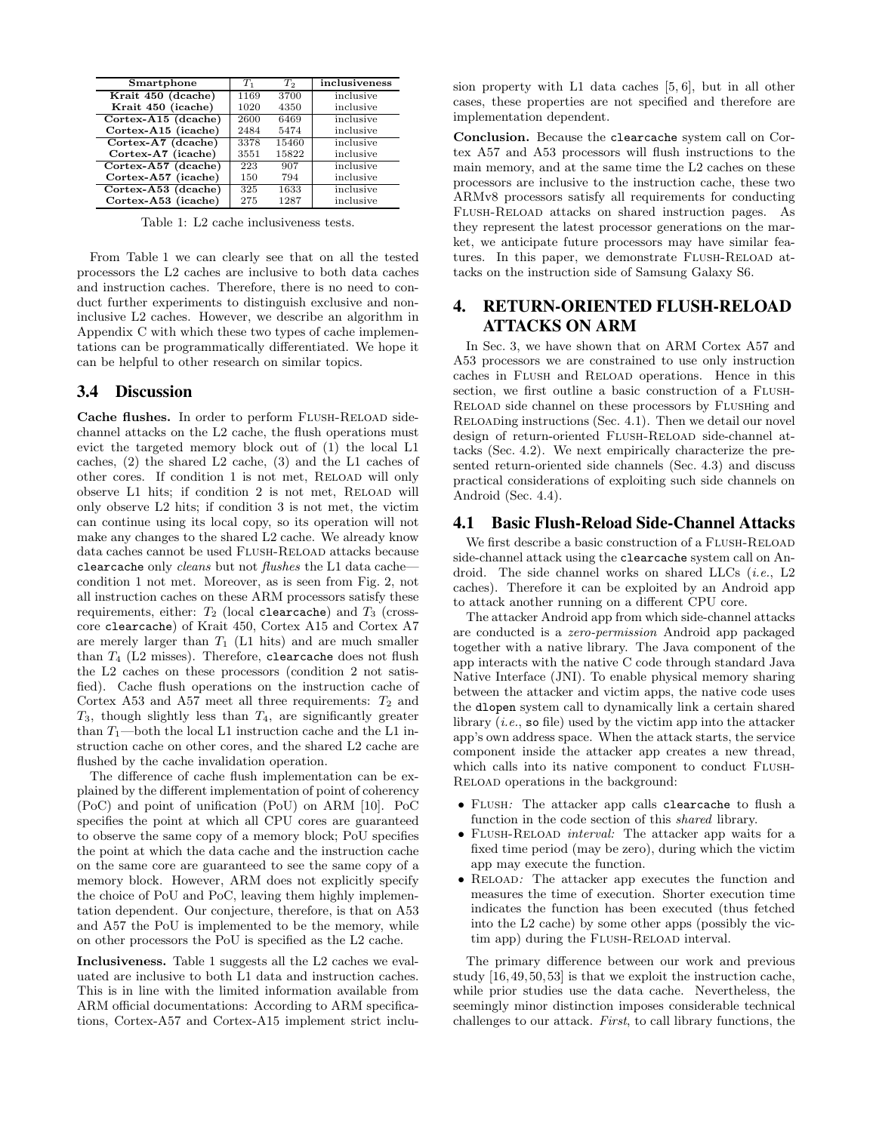| Smartphone              | $T_{1}$ | T <sub>2</sub> | inclusiveness |
|-------------------------|---------|----------------|---------------|
| Krait 450 (dcache)      | 1169    | 3700           | inclusive     |
| Krait 450 (icache)      | 1020    | 4350           | inclusive     |
| Cortex-A15 (dcache)     | 2600    | 6469           | inclusive     |
| Cortex-A15 (icache)     | 2484    | 5474           | inclusive     |
| Cortex-A7 (dcache)      | 3378    | 15460          | inclusive     |
| Cortex-A7 (icache)      | 3551    | 15822          | inclusive     |
| Cortex-A57 (dcache)     | 223     | 907            | inclusive     |
| Cortex-A57 (icache)     | 150     | 794            | inclusive     |
| $Cortex - A53$ (deache) | 325     | 1633           | inclusive     |
| Cortex-A53 (icache)     | 275     | 1287           | inclusive     |

Table 1: L2 cache inclusiveness tests.

From Table 1 we can clearly see that on all the tested processors the L2 caches are inclusive to both data caches and instruction caches. Therefore, there is no need to conduct further experiments to distinguish exclusive and noninclusive L2 caches. However, we describe an algorithm in Appendix C with which these two types of cache implementations can be programmatically differentiated. We hope it can be helpful to other research on similar topics.

#### 3.4 Discussion

Cache flushes. In order to perform FLUSH-RELOAD sidechannel attacks on the L2 cache, the flush operations must evict the targeted memory block out of (1) the local L1 caches, (2) the shared L2 cache, (3) and the L1 caches of other cores. If condition 1 is not met, Reload will only observe L1 hits; if condition 2 is not met, Reload will only observe L2 hits; if condition 3 is not met, the victim can continue using its local copy, so its operation will not make any changes to the shared L2 cache. We already know data caches cannot be used Flush-Reload attacks because clearcache only cleans but not flushes the L1 data cache condition 1 not met. Moreover, as is seen from Fig. 2, not all instruction caches on these ARM processors satisfy these requirements, either:  $T_2$  (local clearcache) and  $T_3$  (crosscore clearcache) of Krait 450, Cortex A15 and Cortex A7 are merely larger than  $T_1$  (L1 hits) and are much smaller than  $T_4$  (L2 misses). Therefore, clearcache does not flush the L2 caches on these processors (condition 2 not satisfied). Cache flush operations on the instruction cache of Cortex A53 and A57 meet all three requirements:  $T_2$  and  $T_3$ , though slightly less than  $T_4$ , are significantly greater than  $T_1$ —both the local L1 instruction cache and the L1 instruction cache on other cores, and the shared L2 cache are flushed by the cache invalidation operation.

The difference of cache flush implementation can be explained by the different implementation of point of coherency (PoC) and point of unification (PoU) on ARM [10]. PoC specifies the point at which all CPU cores are guaranteed to observe the same copy of a memory block; PoU specifies the point at which the data cache and the instruction cache on the same core are guaranteed to see the same copy of a memory block. However, ARM does not explicitly specify the choice of PoU and PoC, leaving them highly implementation dependent. Our conjecture, therefore, is that on A53 and A57 the PoU is implemented to be the memory, while on other processors the PoU is specified as the L2 cache.

Inclusiveness. Table 1 suggests all the L2 caches we evaluated are inclusive to both L1 data and instruction caches. This is in line with the limited information available from ARM official documentations: According to ARM specifications, Cortex-A57 and Cortex-A15 implement strict inclusion property with L1 data caches [5, 6], but in all other cases, these properties are not specified and therefore are implementation dependent.

Conclusion. Because the clearcache system call on Cortex A57 and A53 processors will flush instructions to the main memory, and at the same time the L2 caches on these processors are inclusive to the instruction cache, these two ARMv8 processors satisfy all requirements for conducting Flush-Reload attacks on shared instruction pages. As they represent the latest processor generations on the market, we anticipate future processors may have similar features. In this paper, we demonstrate FLUSH-RELOAD attacks on the instruction side of Samsung Galaxy S6.

## 4. RETURN-ORIENTED FLUSH-RELOAD ATTACKS ON ARM

In Sec. 3, we have shown that on ARM Cortex A57 and A53 processors we are constrained to use only instruction caches in Flush and Reload operations. Hence in this section, we first outline a basic construction of a FLUSH-Reload side channel on these processors by Flushing and RELOADing instructions (Sec. 4.1). Then we detail our novel design of return-oriented Flush-Reload side-channel attacks (Sec. 4.2). We next empirically characterize the presented return-oriented side channels (Sec. 4.3) and discuss practical considerations of exploiting such side channels on Android (Sec. 4.4).

#### 4.1 Basic Flush-Reload Side-Channel Attacks

We first describe a basic construction of a FLUSH-RELOAD side-channel attack using the clearcache system call on Android. The side channel works on shared LLCs (i.e., L2 caches). Therefore it can be exploited by an Android app to attack another running on a different CPU core.

The attacker Android app from which side-channel attacks are conducted is a zero-permission Android app packaged together with a native library. The Java component of the app interacts with the native C code through standard Java Native Interface (JNI). To enable physical memory sharing between the attacker and victim apps, the native code uses the dlopen system call to dynamically link a certain shared library  $(i.e., s \circ \text{file})$  used by the victim app into the attacker app's own address space. When the attack starts, the service component inside the attacker app creates a new thread, which calls into its native component to conduct FLUSH-Reload operations in the background:

- Flush: The attacker app calls clearcache to flush a function in the code section of this shared library.
- FLUSH-RELOAD *interval*: The attacker app waits for a fixed time period (may be zero), during which the victim app may execute the function.
- RELOAD: The attacker app executes the function and measures the time of execution. Shorter execution time indicates the function has been executed (thus fetched into the L2 cache) by some other apps (possibly the victim app) during the FLUSH-RELOAD interval.

The primary difference between our work and previous study [16, 49, 50, 53] is that we exploit the instruction cache, while prior studies use the data cache. Nevertheless, the seemingly minor distinction imposes considerable technical challenges to our attack. First, to call library functions, the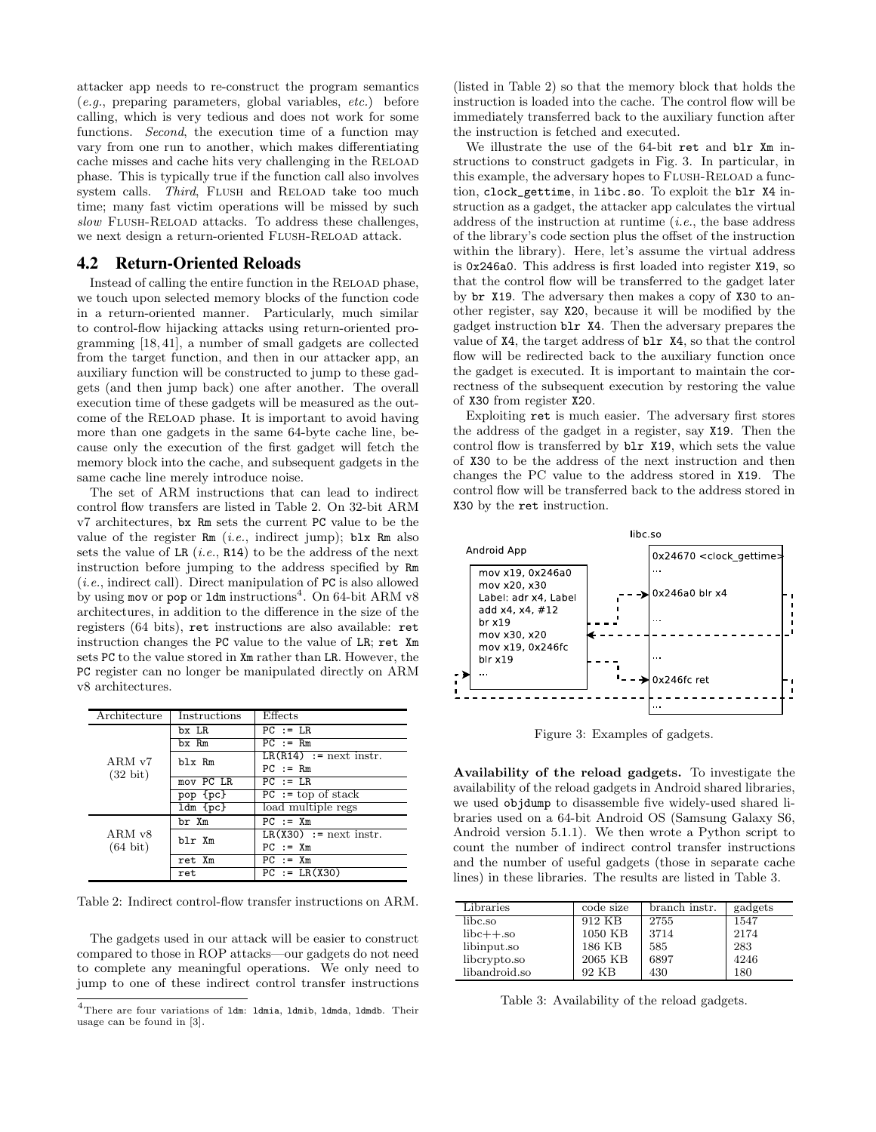attacker app needs to re-construct the program semantics (e.g., preparing parameters, global variables, etc.) before calling, which is very tedious and does not work for some functions. Second, the execution time of a function may vary from one run to another, which makes differentiating cache misses and cache hits very challenging in the RELOAD phase. This is typically true if the function call also involves system calls. Third, FLUSH and RELOAD take too much time; many fast victim operations will be missed by such slow FLUSH-RELOAD attacks. To address these challenges, we next design a return-oriented FLUSH-RELOAD attack.

#### 4.2 Return-Oriented Reloads

Instead of calling the entire function in the Reload phase, we touch upon selected memory blocks of the function code in a return-oriented manner. Particularly, much similar to control-flow hijacking attacks using return-oriented programming [18, 41], a number of small gadgets are collected from the target function, and then in our attacker app, an auxiliary function will be constructed to jump to these gadgets (and then jump back) one after another. The overall execution time of these gadgets will be measured as the outcome of the Reload phase. It is important to avoid having more than one gadgets in the same 64-byte cache line, because only the execution of the first gadget will fetch the memory block into the cache, and subsequent gadgets in the same cache line merely introduce noise.

The set of ARM instructions that can lead to indirect control flow transfers are listed in Table 2. On 32-bit ARM v7 architectures, bx Rm sets the current PC value to be the value of the register  $\mathtt{Rm}$  (*i.e.*, indirect jump);  $\mathtt{blk}$   $\mathtt{Rm}$  also sets the value of LR  $(i.e., R14)$  to be the address of the next instruction before jumping to the address specified by Rm (i.e., indirect call). Direct manipulation of PC is also allowed by using mov or pop or 1dm instructions<sup>4</sup>. On 64-bit ARM v8 architectures, in addition to the difference in the size of the registers (64 bits), ret instructions are also available: ret instruction changes the PC value to the value of LR; ret Xm sets PC to the value stored in Xm rather than LR. However, the PC register can no longer be manipulated directly on ARM v8 architectures.

| Architecture                      | Instructions   | Effects                  |  |  |  |  |
|-----------------------------------|----------------|--------------------------|--|--|--|--|
| $ARM_{V}$<br>$(32 \text{ bit})$   | bx LR          | $PC := LR$               |  |  |  |  |
|                                   | bx Rm          | $PC := Rm$               |  |  |  |  |
|                                   | blx Rm         | $LR(R14) := next instr.$ |  |  |  |  |
|                                   |                | $PC := Rm$               |  |  |  |  |
|                                   | mov PC LR      | $PC := LR$               |  |  |  |  |
|                                   | pop {pc}       | $PC := top of stack$     |  |  |  |  |
|                                   | $1dm$ $\{pc\}$ | load multiple regs       |  |  |  |  |
|                                   | br Xm          | $PC := Xm$               |  |  |  |  |
| $ARM$ v $8$<br>$(64 \text{ bit})$ | blr Xm         | $LR(X30) := next instr.$ |  |  |  |  |
|                                   |                | $PC := Xm$               |  |  |  |  |
|                                   | ret Xm         | $PC := Xm$               |  |  |  |  |
|                                   | ret            | $PC := LR(X30)$          |  |  |  |  |

Table 2: Indirect control-flow transfer instructions on ARM.

The gadgets used in our attack will be easier to construct compared to those in ROP attacks—our gadgets do not need to complete any meaningful operations. We only need to jump to one of these indirect control transfer instructions

(listed in Table 2) so that the memory block that holds the instruction is loaded into the cache. The control flow will be immediately transferred back to the auxiliary function after the instruction is fetched and executed.

We illustrate the use of the 64-bit ret and blr Xm instructions to construct gadgets in Fig. 3. In particular, in this example, the adversary hopes to FLUSH-RELOAD a function, clock\_gettime, in libc.so. To exploit the blr X4 instruction as a gadget, the attacker app calculates the virtual address of the instruction at runtime (i.e., the base address of the library's code section plus the offset of the instruction within the library). Here, let's assume the virtual address is 0x246a0. This address is first loaded into register X19, so that the control flow will be transferred to the gadget later by br X19. The adversary then makes a copy of X30 to another register, say X20, because it will be modified by the gadget instruction blr X4. Then the adversary prepares the value of X4, the target address of blr X4, so that the control flow will be redirected back to the auxiliary function once the gadget is executed. It is important to maintain the correctness of the subsequent execution by restoring the value of X30 from register X20.

Exploiting ret is much easier. The adversary first stores the address of the gadget in a register, say X19. Then the control flow is transferred by blr X19, which sets the value of X30 to be the address of the next instruction and then changes the PC value to the address stored in X19. The control flow will be transferred back to the address stored in X30 by the ret instruction.



Figure 3: Examples of gadgets.

Availability of the reload gadgets. To investigate the availability of the reload gadgets in Android shared libraries, we used objdump to disassemble five widely-used shared libraries used on a 64-bit Android OS (Samsung Galaxy S6, Android version 5.1.1). We then wrote a Python script to count the number of indirect control transfer instructions and the number of useful gadgets (those in separate cache lines) in these libraries. The results are listed in Table 3.

| Libraries     | code size | branch instr. | gadgets |
|---------------|-----------|---------------|---------|
| libc.so       | 912 KB    | 2755          | 1547    |
| $libc++.so$   | 1050 KB   | 3714          | 2174    |
| libinput.so   | 186 KB    | 585           | 283     |
| libcrypto.so  | 2065 KB   | 6897          | 4246    |
| libandroid.so | 92 KB     | 430           | 180     |

Table 3: Availability of the reload gadgets.

<sup>4</sup>There are four variations of ldm: ldmia, ldmib, ldmda, ldmdb. Their usage can be found in [3].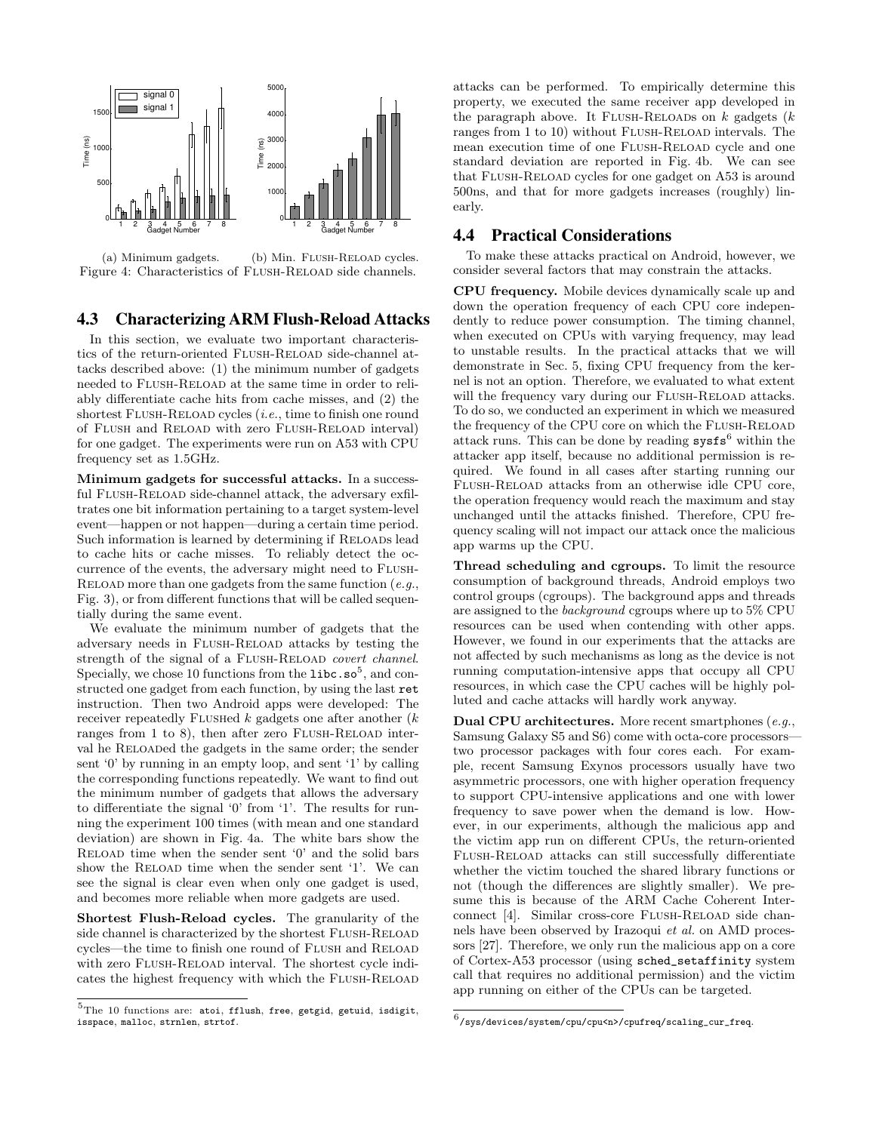

(a) Minimum gadgets. (b) Min. Flush-Reload cycles. Figure 4: Characteristics of FLUSH-RELOAD side channels.

#### 4.3 Characterizing ARM Flush-Reload Attacks

In this section, we evaluate two important characteristics of the return-oriented Flush-Reload side-channel attacks described above: (1) the minimum number of gadgets needed to Flush-Reload at the same time in order to reliably differentiate cache hits from cache misses, and (2) the shortest FLUSH-RELOAD cycles  $(i.e., time to finish one round)$ of Flush and Reload with zero Flush-Reload interval) for one gadget. The experiments were run on A53 with CPU frequency set as 1.5GHz.

Minimum gadgets for successful attacks. In a successful FLUSH-RELOAD side-channel attack, the adversary exfiltrates one bit information pertaining to a target system-level event—happen or not happen—during a certain time period. Such information is learned by determining if RELOADS lead to cache hits or cache misses. To reliably detect the occurrence of the events, the adversary might need to FLUSH-RELOAD more than one gadgets from the same function  $(e.g.,)$ Fig. 3), or from different functions that will be called sequentially during the same event.

We evaluate the minimum number of gadgets that the adversary needs in Flush-Reload attacks by testing the strength of the signal of a FLUSH-RELOAD covert channel. Specially, we chose 10 functions from the  $\texttt{libc.s} \circ^5$ , and constructed one gadget from each function, by using the last ret instruction. Then two Android apps were developed: The receiver repeatedly FLUSHed  $k$  gadgets one after another  $(k)$ ranges from 1 to 8), then after zero FLUSH-RELOAD interval he Reloaded the gadgets in the same order; the sender sent '0' by running in an empty loop, and sent '1' by calling the corresponding functions repeatedly. We want to find out the minimum number of gadgets that allows the adversary to differentiate the signal '0' from '1'. The results for running the experiment 100 times (with mean and one standard deviation) are shown in Fig. 4a. The white bars show the Reload time when the sender sent '0' and the solid bars show the RELOAD time when the sender sent '1'. We can see the signal is clear even when only one gadget is used, and becomes more reliable when more gadgets are used.

Shortest Flush-Reload cycles. The granularity of the side channel is characterized by the shortest FLUSH-RELOAD cycles—the time to finish one round of Flush and Reload with zero Flush-Reload interval. The shortest cycle indicates the highest frequency with which the FLUSH-RELOAD

attacks can be performed. To empirically determine this property, we executed the same receiver app developed in the paragraph above. It FLUSH-RELOADs on  $k$  gadgets  $(k)$ ranges from 1 to 10) without FLUSH-RELOAD intervals. The mean execution time of one FLUSH-RELOAD cycle and one standard deviation are reported in Fig. 4b. We can see that Flush-Reload cycles for one gadget on A53 is around 500ns, and that for more gadgets increases (roughly) linearly.

#### 4.4 Practical Considerations

To make these attacks practical on Android, however, we consider several factors that may constrain the attacks.

CPU frequency. Mobile devices dynamically scale up and down the operation frequency of each CPU core independently to reduce power consumption. The timing channel, when executed on CPUs with varying frequency, may lead to unstable results. In the practical attacks that we will demonstrate in Sec. 5, fixing CPU frequency from the kernel is not an option. Therefore, we evaluated to what extent will the frequency vary during our FLUSH-RELOAD attacks. To do so, we conducted an experiment in which we measured the frequency of the CPU core on which the FLUSH-RELOAD attack runs. This can be done by reading  $systs<sup>6</sup>$  within the attacker app itself, because no additional permission is required. We found in all cases after starting running our Flush-Reload attacks from an otherwise idle CPU core, the operation frequency would reach the maximum and stay unchanged until the attacks finished. Therefore, CPU frequency scaling will not impact our attack once the malicious app warms up the CPU.

Thread scheduling and cgroups. To limit the resource consumption of background threads, Android employs two control groups (cgroups). The background apps and threads are assigned to the background cgroups where up to 5% CPU resources can be used when contending with other apps. However, we found in our experiments that the attacks are not affected by such mechanisms as long as the device is not running computation-intensive apps that occupy all CPU resources, in which case the CPU caches will be highly polluted and cache attacks will hardly work anyway.

Dual CPU architectures. More recent smartphones (e.g., Samsung Galaxy S5 and S6) come with octa-core processors two processor packages with four cores each. For example, recent Samsung Exynos processors usually have two asymmetric processors, one with higher operation frequency to support CPU-intensive applications and one with lower frequency to save power when the demand is low. However, in our experiments, although the malicious app and the victim app run on different CPUs, the return-oriented Flush-Reload attacks can still successfully differentiate whether the victim touched the shared library functions or not (though the differences are slightly smaller). We presume this is because of the ARM Cache Coherent Interconnect [4]. Similar cross-core Flush-Reload side channels have been observed by Irazoqui et al. on AMD processors [27]. Therefore, we only run the malicious app on a core of Cortex-A53 processor (using sched\_setaffinity system call that requires no additional permission) and the victim app running on either of the CPUs can be targeted.

 ${}^{5}$ The 10 functions are: atoi, fflush, free, getgid, getuid, isdigit, isspace, malloc, strnlen, strtof.

 $^6$ /sys/devices/system/cpu/cpu<n>/cpufreq/scaling\_cur\_freq.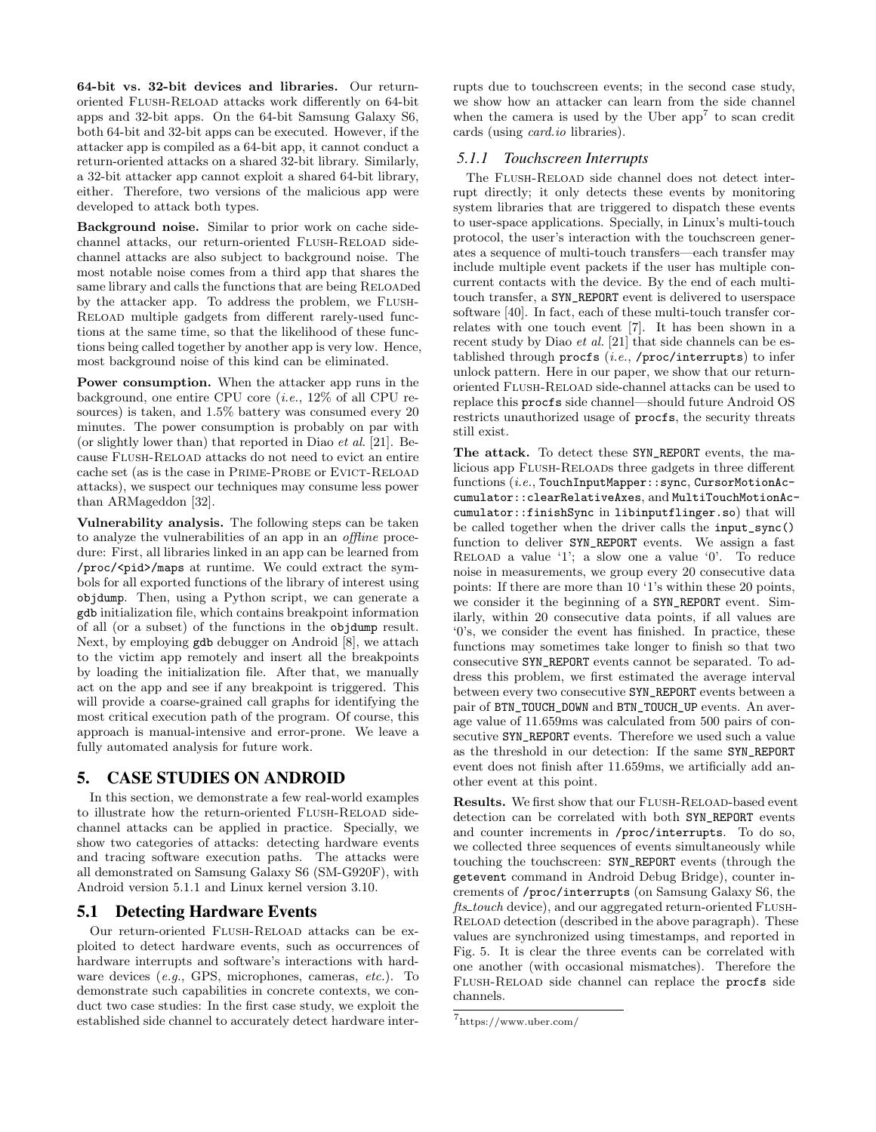64-bit vs. 32-bit devices and libraries. Our returnoriented Flush-Reload attacks work differently on 64-bit apps and 32-bit apps. On the 64-bit Samsung Galaxy S6, both 64-bit and 32-bit apps can be executed. However, if the attacker app is compiled as a 64-bit app, it cannot conduct a return-oriented attacks on a shared 32-bit library. Similarly, a 32-bit attacker app cannot exploit a shared 64-bit library, either. Therefore, two versions of the malicious app were developed to attack both types.

Background noise. Similar to prior work on cache sidechannel attacks, our return-oriented Flush-Reload sidechannel attacks are also subject to background noise. The most notable noise comes from a third app that shares the same library and calls the functions that are being RELOADed by the attacker app. To address the problem, we Flush-RELOAD multiple gadgets from different rarely-used functions at the same time, so that the likelihood of these functions being called together by another app is very low. Hence, most background noise of this kind can be eliminated.

Power consumption. When the attacker app runs in the background, one entire CPU core  $(i.e., 12\%$  of all CPU resources) is taken, and 1.5% battery was consumed every 20 minutes. The power consumption is probably on par with (or slightly lower than) that reported in Diao et al. [21]. Because Flush-Reload attacks do not need to evict an entire cache set (as is the case in PRIME-PROBE or EVICT-RELOAD attacks), we suspect our techniques may consume less power than ARMageddon [32].

Vulnerability analysis. The following steps can be taken to analyze the vulnerabilities of an app in an offline procedure: First, all libraries linked in an app can be learned from /proc/<pid>/maps at runtime. We could extract the symbols for all exported functions of the library of interest using objdump. Then, using a Python script, we can generate a gdb initialization file, which contains breakpoint information of all (or a subset) of the functions in the objdump result. Next, by employing gdb debugger on Android [8], we attach to the victim app remotely and insert all the breakpoints by loading the initialization file. After that, we manually act on the app and see if any breakpoint is triggered. This will provide a coarse-grained call graphs for identifying the most critical execution path of the program. Of course, this approach is manual-intensive and error-prone. We leave a fully automated analysis for future work.

## 5. CASE STUDIES ON ANDROID

In this section, we demonstrate a few real-world examples to illustrate how the return-oriented FLUSH-RELOAD sidechannel attacks can be applied in practice. Specially, we show two categories of attacks: detecting hardware events and tracing software execution paths. The attacks were all demonstrated on Samsung Galaxy S6 (SM-G920F), with Android version 5.1.1 and Linux kernel version 3.10.

## 5.1 Detecting Hardware Events

Our return-oriented Flush-Reload attacks can be exploited to detect hardware events, such as occurrences of hardware interrupts and software's interactions with hardware devices (e.g., GPS, microphones, cameras, etc.). To demonstrate such capabilities in concrete contexts, we conduct two case studies: In the first case study, we exploit the established side channel to accurately detect hardware interrupts due to touchscreen events; in the second case study, we show how an attacker can learn from the side channel when the camera is used by the Uber  $app<sup>7</sup>$  to scan credit cards (using card.io libraries).

#### *5.1.1 Touchscreen Interrupts*

The Flush-Reload side channel does not detect interrupt directly; it only detects these events by monitoring system libraries that are triggered to dispatch these events to user-space applications. Specially, in Linux's multi-touch protocol, the user's interaction with the touchscreen generates a sequence of multi-touch transfers—each transfer may include multiple event packets if the user has multiple concurrent contacts with the device. By the end of each multitouch transfer, a SYN\_REPORT event is delivered to userspace software [40]. In fact, each of these multi-touch transfer correlates with one touch event [7]. It has been shown in a recent study by Diao *et al.* [21] that side channels can be established through procfs  $(i.e.,$  /proc/interrupts) to infer unlock pattern. Here in our paper, we show that our returnoriented Flush-Reload side-channel attacks can be used to replace this procfs side channel—should future Android OS restricts unauthorized usage of procfs, the security threats still exist.

The attack. To detect these SYN\_REPORT events, the malicious app Flush-Reloads three gadgets in three different functions (i.e., TouchInputMapper::sync, CursorMotionAccumulator::clearRelativeAxes, and MultiTouchMotionAccumulator::finishSync in libinputflinger.so) that will be called together when the driver calls the input\_sync() function to deliver SYN\_REPORT events. We assign a fast Reload a value '1'; a slow one a value '0'. To reduce noise in measurements, we group every 20 consecutive data points: If there are more than 10 '1's within these 20 points, we consider it the beginning of a SYN\_REPORT event. Similarly, within 20 consecutive data points, if all values are '0's, we consider the event has finished. In practice, these functions may sometimes take longer to finish so that two consecutive SYN\_REPORT events cannot be separated. To address this problem, we first estimated the average interval between every two consecutive SYN\_REPORT events between a pair of BTN\_TOUCH\_DOWN and BTN\_TOUCH\_UP events. An average value of 11.659ms was calculated from 500 pairs of consecutive SYN\_REPORT events. Therefore we used such a value as the threshold in our detection: If the same SYN\_REPORT event does not finish after 11.659ms, we artificially add another event at this point.

Results. We first show that our FLUSH-RELOAD-based event detection can be correlated with both SYN\_REPORT events and counter increments in /proc/interrupts. To do so, we collected three sequences of events simultaneously while touching the touchscreen: SYN\_REPORT events (through the getevent command in Android Debug Bridge), counter increments of /proc/interrupts (on Samsung Galaxy S6, the fts\_touch device), and our aggregated return-oriented FLUSH-RELOAD detection (described in the above paragraph). These values are synchronized using timestamps, and reported in Fig. 5. It is clear the three events can be correlated with one another (with occasional mismatches). Therefore the Flush-Reload side channel can replace the procfs side channels.

<sup>7</sup> https://www.uber.com/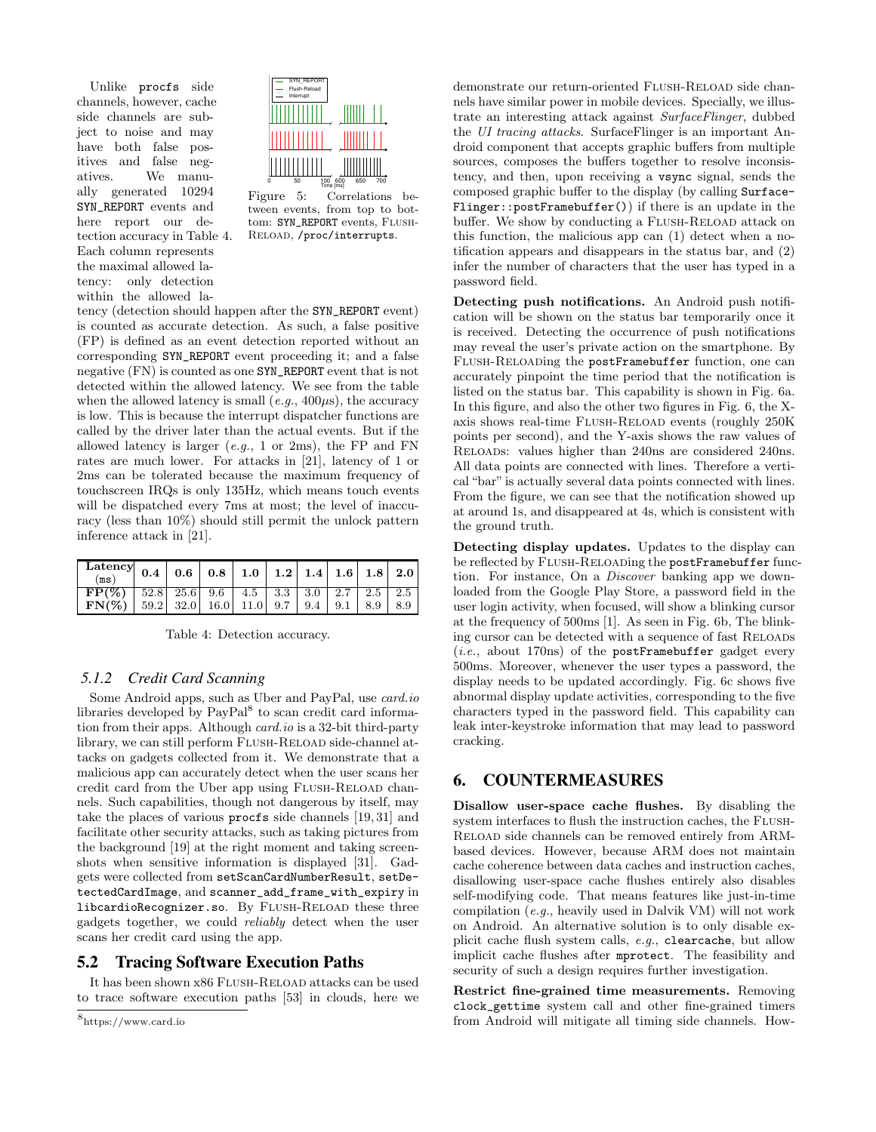Unlike procfs side channels, however, cache side channels are subject to noise and may have both false positives and false negatives. We manually generated 10294 SYN\_REPORT events and here report our detection accuracy in Table 4. Each column represents the maximal allowed latency: only detection within the allowed la-



Figure 5: Correlations between events, from top to bottom: SYN\_REPORT events, FLUSH-RELOAD, /proc/interrupts.

tency (detection should happen after the SYN\_REPORT event) is counted as accurate detection. As such, a false positive (FP) is defined as an event detection reported without an corresponding SYN\_REPORT event proceeding it; and a false negative (FN) is counted as one SYN\_REPORT event that is not detected within the allowed latency. We see from the table when the allowed latency is small  $(e.g., 400\mu s)$ , the accuracy is low. This is because the interrupt dispatcher functions are called by the driver later than the actual events. But if the allowed latency is larger (e.g., 1 or 2ms), the FP and FN rates are much lower. For attacks in [21], latency of 1 or 2ms can be tolerated because the maximum frequency of touchscreen IRQs is only 135Hz, which means touch events will be dispatched every 7ms at most; the level of inaccuracy (less than 10%) should still permit the unlock pattern inference attack in [21].

| $\begin{array}{ l c c c c c }\hline \text{Latency} & 0.4 & 0.6 & 0.8 & 1.0 & 1.2 & 1.4 & 1.6 & 1.8 & 2.0 \ \hline \end{array}$<br>(ms) |  |  |  |  |  |
|----------------------------------------------------------------------------------------------------------------------------------------|--|--|--|--|--|
| $\boxed{\mathbf{FP}(\%) \mid 52.8 \mid 25.6 \mid 9.6 \mid 4.5 \mid 3.3 \mid 3.0 \mid 2.7 \mid 2.5 \mid 2.5}$                           |  |  |  |  |  |
| $\mid$ FN(%)   59.2   32.0   16.0   11.0   9.7   9.4   9.1   8.9   8.9                                                                 |  |  |  |  |  |

Table 4: Detection accuracy.

#### *5.1.2 Credit Card Scanning*

Some Android apps, such as Uber and PayPal, use card.io libraries developed by PayPal<sup>8</sup> to scan credit card information from their apps. Although card.io is a 32-bit third-party library, we can still perform FLUSH-RELOAD side-channel attacks on gadgets collected from it. We demonstrate that a malicious app can accurately detect when the user scans her credit card from the Uber app using Flush-Reload channels. Such capabilities, though not dangerous by itself, may take the places of various procfs side channels [19, 31] and facilitate other security attacks, such as taking pictures from the background [19] at the right moment and taking screenshots when sensitive information is displayed [31]. Gadgets were collected from setScanCardNumberResult, setDetectedCardImage, and scanner\_add\_frame\_with\_expiry in libcardioRecognizer.so. By FLUSH-RELOAD these three gadgets together, we could reliably detect when the user scans her credit card using the app.

#### 5.2 Tracing Software Execution Paths

It has been shown x86 Flush-Reload attacks can be used to trace software execution paths [53] in clouds, here we demonstrate our return-oriented Flush-Reload side channels have similar power in mobile devices. Specially, we illustrate an interesting attack against SurfaceFlinger, dubbed the UI tracing attacks. SurfaceFlinger is an important Android component that accepts graphic buffers from multiple sources, composes the buffers together to resolve inconsistency, and then, upon receiving a vsync signal, sends the composed graphic buffer to the display (by calling Surface-Flinger::postFramebuffer()) if there is an update in the buffer. We show by conducting a FLUSH-RELOAD attack on this function, the malicious app can (1) detect when a notification appears and disappears in the status bar, and (2) infer the number of characters that the user has typed in a password field.

Detecting push notifications. An Android push notification will be shown on the status bar temporarily once it is received. Detecting the occurrence of push notifications may reveal the user's private action on the smartphone. By Flush-Reloading the postFramebuffer function, one can accurately pinpoint the time period that the notification is listed on the status bar. This capability is shown in Fig. 6a. In this figure, and also the other two figures in Fig. 6, the Xaxis shows real-time Flush-Reload events (roughly 250K points per second), and the Y-axis shows the raw values of RELOADS: values higher than 240ns are considered 240ns. All data points are connected with lines. Therefore a vertical "bar"is actually several data points connected with lines. From the figure, we can see that the notification showed up at around 1s, and disappeared at 4s, which is consistent with the ground truth.

Detecting display updates. Updates to the display can be reflected by FLUSH-RELOADing the postFramebuffer function. For instance, On a Discover banking app we downloaded from the Google Play Store, a password field in the user login activity, when focused, will show a blinking cursor at the frequency of 500ms [1]. As seen in Fig. 6b, The blinking cursor can be detected with a sequence of fast RELOADs  $(i.e., about 170ns)$  of the postFramebuffer gadget every 500ms. Moreover, whenever the user types a password, the display needs to be updated accordingly. Fig. 6c shows five abnormal display update activities, corresponding to the five characters typed in the password field. This capability can leak inter-keystroke information that may lead to password cracking.

#### 6. COUNTERMEASURES

Disallow user-space cache flushes. By disabling the system interfaces to flush the instruction caches, the FLUSH-Reload side channels can be removed entirely from ARMbased devices. However, because ARM does not maintain cache coherence between data caches and instruction caches, disallowing user-space cache flushes entirely also disables self-modifying code. That means features like just-in-time compilation (e.g., heavily used in Dalvik VM) will not work on Android. An alternative solution is to only disable explicit cache flush system calls, e.g., clearcache, but allow implicit cache flushes after mprotect. The feasibility and security of such a design requires further investigation.

Restrict fine-grained time measurements. Removing clock\_gettime system call and other fine-grained timers from Android will mitigate all timing side channels. How-

<sup>8</sup> https://www.card.io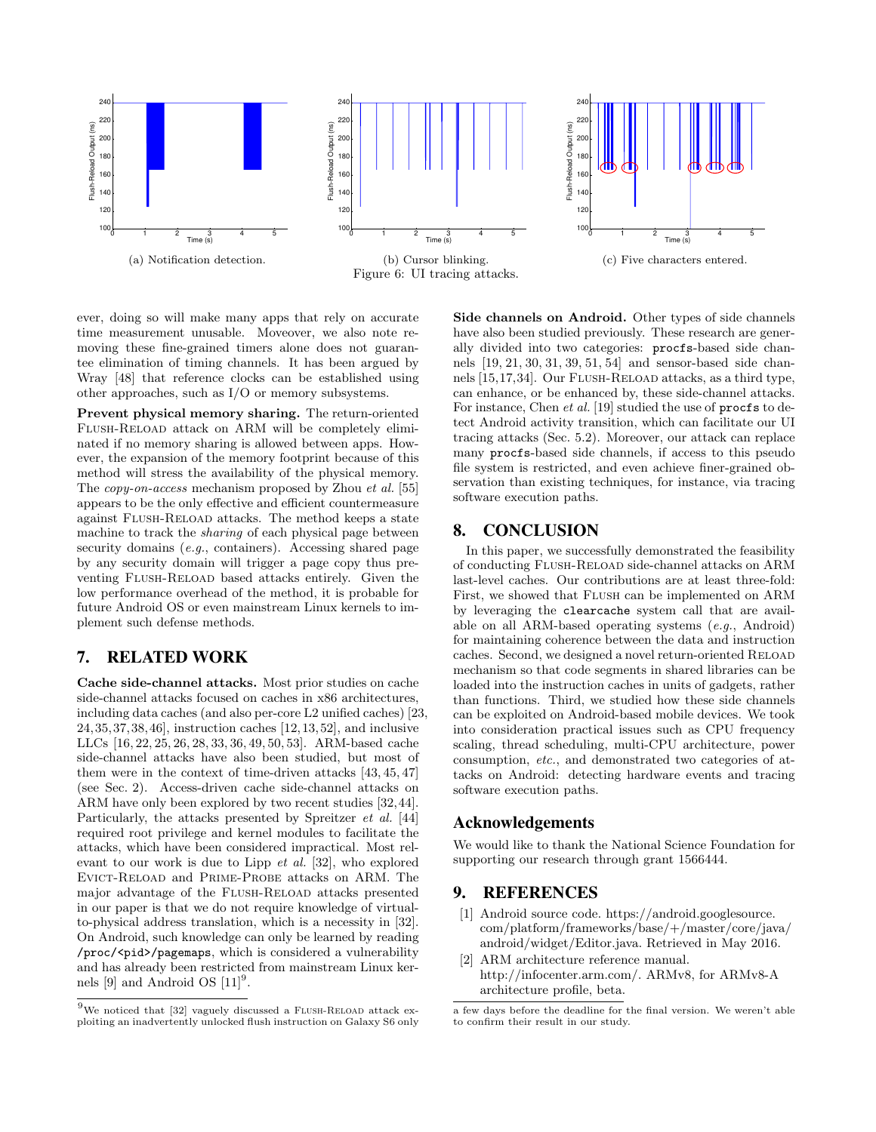

ever, doing so will make many apps that rely on accurate time measurement unusable. Moveover, we also note removing these fine-grained timers alone does not guarantee elimination of timing channels. It has been argued by Wray [48] that reference clocks can be established using other approaches, such as I/O or memory subsystems.

Prevent physical memory sharing. The return-oriented Flush-Reload attack on ARM will be completely eliminated if no memory sharing is allowed between apps. However, the expansion of the memory footprint because of this method will stress the availability of the physical memory. The *copy-on-access* mechanism proposed by Zhou *et al.* [55] appears to be the only effective and efficient countermeasure against Flush-Reload attacks. The method keeps a state machine to track the sharing of each physical page between security domains (e.g., containers). Accessing shared page by any security domain will trigger a page copy thus preventing Flush-Reload based attacks entirely. Given the low performance overhead of the method, it is probable for future Android OS or even mainstream Linux kernels to implement such defense methods.

## 7. RELATED WORK

Cache side-channel attacks. Most prior studies on cache side-channel attacks focused on caches in x86 architectures, including data caches (and also per-core L2 unified caches) [23, 24,35,37,38,46], instruction caches [12,13,52], and inclusive LLCs [16, 22, 25, 26, 28, 33, 36, 49, 50, 53]. ARM-based cache side-channel attacks have also been studied, but most of them were in the context of time-driven attacks [43, 45, 47] (see Sec. 2). Access-driven cache side-channel attacks on ARM have only been explored by two recent studies [32,44]. Particularly, the attacks presented by Spreitzer et al. [44] required root privilege and kernel modules to facilitate the attacks, which have been considered impractical. Most relevant to our work is due to Lipp et al. [32], who explored Evict-Reload and Prime-Probe attacks on ARM. The major advantage of the Flush-Reload attacks presented in our paper is that we do not require knowledge of virtualto-physical address translation, which is a necessity in [32]. On Android, such knowledge can only be learned by reading /proc/<pid>/pagemaps, which is considered a vulnerability and has already been restricted from mainstream Linux kernels  $[9]$  and Android OS  $[11]$ <sup>9</sup>.

Side channels on Android. Other types of side channels have also been studied previously. These research are generally divided into two categories: procfs-based side channels [19, 21, 30, 31, 39, 51, 54] and sensor-based side channels [15,17,34]. Our Flush-Reload attacks, as a third type, can enhance, or be enhanced by, these side-channel attacks. For instance, Chen *et al.* [19] studied the use of procfs to detect Android activity transition, which can facilitate our UI tracing attacks (Sec. 5.2). Moreover, our attack can replace many procfs-based side channels, if access to this pseudo file system is restricted, and even achieve finer-grained observation than existing techniques, for instance, via tracing software execution paths.

## 8. CONCLUSION

In this paper, we successfully demonstrated the feasibility of conducting Flush-Reload side-channel attacks on ARM last-level caches. Our contributions are at least three-fold: First, we showed that Flush can be implemented on ARM by leveraging the clearcache system call that are available on all ARM-based operating systems (e.g., Android) for maintaining coherence between the data and instruction caches. Second, we designed a novel return-oriented Reload mechanism so that code segments in shared libraries can be loaded into the instruction caches in units of gadgets, rather than functions. Third, we studied how these side channels can be exploited on Android-based mobile devices. We took into consideration practical issues such as CPU frequency scaling, thread scheduling, multi-CPU architecture, power consumption, etc., and demonstrated two categories of attacks on Android: detecting hardware events and tracing software execution paths.

## Acknowledgements

We would like to thank the National Science Foundation for supporting our research through grant 1566444.

#### 9. REFERENCES

- [1] Android source code. https://android.googlesource. com/platform/frameworks/base/+/master/core/java/ android/widget/Editor.java. Retrieved in May 2016.
- [2] ARM architecture reference manual. http://infocenter.arm.com/. ARMv8, for ARMv8-A architecture profile, beta.

 $^9\rm{We}$  noticed that [32] vaguely discussed a FLUSH-RELOAD attack exploiting an inadvertently unlocked flush instruction on Galaxy S6 only

a few days before the deadline for the final version. We weren't able to confirm their result in our study.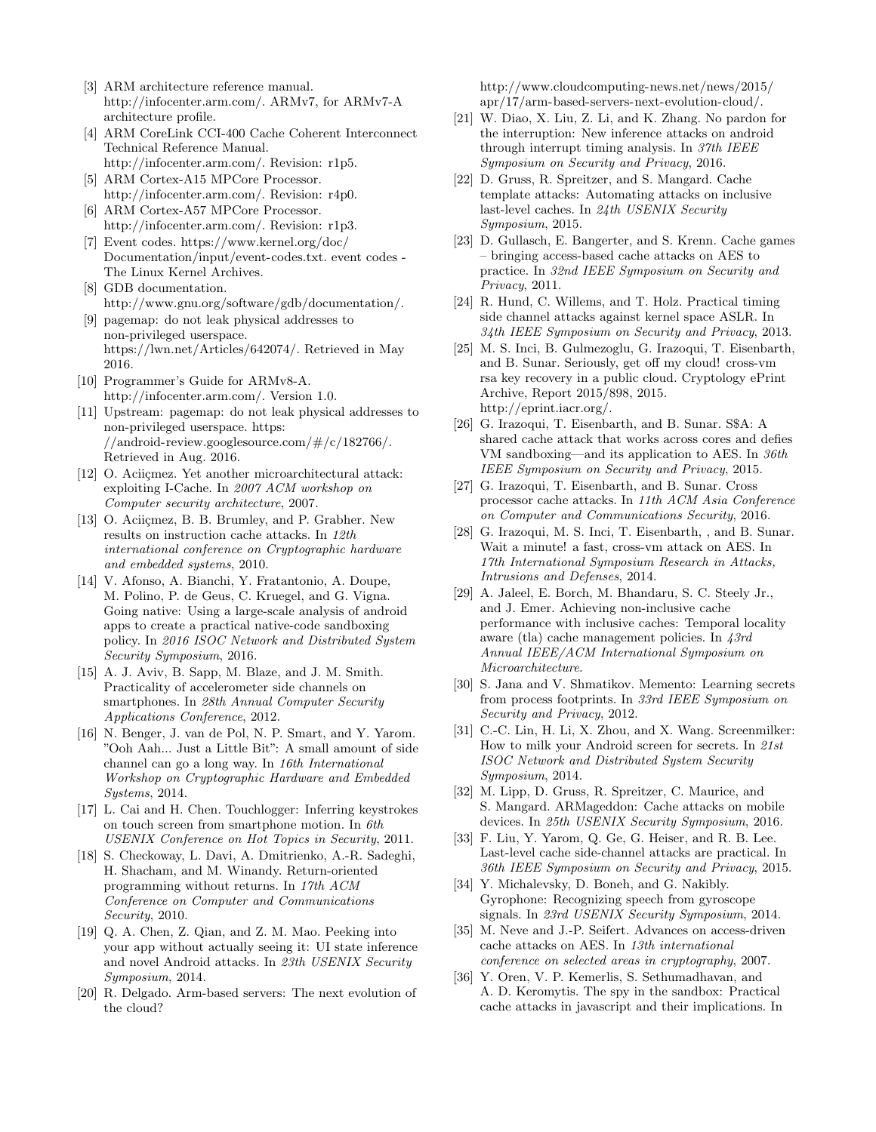- [3] ARM architecture reference manual. http://infocenter.arm.com/. ARMv7, for ARMv7-A architecture profile.
- [4] ARM CoreLink CCI-400 Cache Coherent Interconnect Technical Reference Manual.
- http://infocenter.arm.com/. Revision: r1p5. [5] ARM Cortex-A15 MPCore Processor.
- http://infocenter.arm.com/. Revision: r4p0. [6] ARM Cortex-A57 MPCore Processor.
- http://infocenter.arm.com/. Revision: r1p3.
- [7] Event codes. https://www.kernel.org/doc/ Documentation/input/event-codes.txt. event codes - The Linux Kernel Archives.
- [8] GDB documentation. http://www.gnu.org/software/gdb/documentation/.
- [9] pagemap: do not leak physical addresses to non-privileged userspace. https://lwn.net/Articles/642074/. Retrieved in May 2016.
- [10] Programmer's Guide for ARMv8-A. http://infocenter.arm.com/. Version 1.0.
- [11] Upstream: pagemap: do not leak physical addresses to non-privileged userspace. https: //android-review.googlesource.com/#/c/182766/. Retrieved in Aug. 2016.
- [12] O. Aciiçmez. Yet another microarchitectural attack: exploiting I-Cache. In 2007 ACM workshop on Computer security architecture, 2007.
- [13] O. Aciiçmez, B. B. Brumley, and P. Grabher. New results on instruction cache attacks. In 12th international conference on Cryptographic hardware and embedded systems, 2010.
- [14] V. Afonso, A. Bianchi, Y. Fratantonio, A. Doupe, M. Polino, P. de Geus, C. Kruegel, and G. Vigna. Going native: Using a large-scale analysis of android apps to create a practical native-code sandboxing policy. In 2016 ISOC Network and Distributed System Security Symposium, 2016.
- [15] A. J. Aviv, B. Sapp, M. Blaze, and J. M. Smith. Practicality of accelerometer side channels on smartphones. In 28th Annual Computer Security Applications Conference, 2012.
- [16] N. Benger, J. van de Pol, N. P. Smart, and Y. Yarom. "Ooh Aah... Just a Little Bit": A small amount of side channel can go a long way. In 16th International Workshop on Cryptographic Hardware and Embedded Systems, 2014.
- [17] L. Cai and H. Chen. Touchlogger: Inferring keystrokes on touch screen from smartphone motion. In 6th USENIX Conference on Hot Topics in Security, 2011.
- [18] S. Checkoway, L. Davi, A. Dmitrienko, A.-R. Sadeghi, H. Shacham, and M. Winandy. Return-oriented programming without returns. In 17th ACM Conference on Computer and Communications Security, 2010.
- [19] Q. A. Chen, Z. Qian, and Z. M. Mao. Peeking into your app without actually seeing it: UI state inference and novel Android attacks. In 23th USENIX Security Symposium, 2014.
- [20] R. Delgado. Arm-based servers: The next evolution of the cloud?

http://www.cloudcomputing-news.net/news/2015/ apr/17/arm-based-servers-next-evolution-cloud/.

- [21] W. Diao, X. Liu, Z. Li, and K. Zhang. No pardon for the interruption: New inference attacks on android through interrupt timing analysis. In 37th IEEE Symposium on Security and Privacy, 2016.
- [22] D. Gruss, R. Spreitzer, and S. Mangard. Cache template attacks: Automating attacks on inclusive last-level caches. In 24th USENIX Security Symposium, 2015.
- [23] D. Gullasch, E. Bangerter, and S. Krenn. Cache games – bringing access-based cache attacks on AES to practice. In 32nd IEEE Symposium on Security and Privacy, 2011.
- [24] R. Hund, C. Willems, and T. Holz. Practical timing side channel attacks against kernel space ASLR. In 34th IEEE Symposium on Security and Privacy, 2013.
- [25] M. S. Inci, B. Gulmezoglu, G. Irazoqui, T. Eisenbarth, and B. Sunar. Seriously, get off my cloud! cross-vm rsa key recovery in a public cloud. Cryptology ePrint Archive, Report 2015/898, 2015. http://eprint.iacr.org/.
- [26] G. Irazoqui, T. Eisenbarth, and B. Sunar. S\$A: A shared cache attack that works across cores and defies VM sandboxing—and its application to AES. In 36th IEEE Symposium on Security and Privacy, 2015.
- [27] G. Irazoqui, T. Eisenbarth, and B. Sunar. Cross processor cache attacks. In 11th ACM Asia Conference on Computer and Communications Security, 2016.
- [28] G. Irazoqui, M. S. Inci, T. Eisenbarth, , and B. Sunar. Wait a minute! a fast, cross-vm attack on AES. In 17th International Symposium Research in Attacks, Intrusions and Defenses, 2014.
- [29] A. Jaleel, E. Borch, M. Bhandaru, S. C. Steely Jr., and J. Emer. Achieving non-inclusive cache performance with inclusive caches: Temporal locality aware (tla) cache management policies. In 43rd Annual IEEE/ACM International Symposium on Microarchitecture.
- [30] S. Jana and V. Shmatikov. Memento: Learning secrets from process footprints. In 33rd IEEE Symposium on Security and Privacy, 2012.
- [31] C.-C. Lin, H. Li, X. Zhou, and X. Wang. Screenmilker: How to milk your Android screen for secrets. In 21st ISOC Network and Distributed System Security Symposium, 2014.
- [32] M. Lipp, D. Gruss, R. Spreitzer, C. Maurice, and S. Mangard. ARMageddon: Cache attacks on mobile devices. In 25th USENIX Security Symposium, 2016.
- [33] F. Liu, Y. Yarom, Q. Ge, G. Heiser, and R. B. Lee. Last-level cache side-channel attacks are practical. In 36th IEEE Symposium on Security and Privacy, 2015.
- [34] Y. Michalevsky, D. Boneh, and G. Nakibly. Gyrophone: Recognizing speech from gyroscope signals. In 23rd USENIX Security Symposium, 2014.
- [35] M. Neve and J.-P. Seifert. Advances on access-driven cache attacks on AES. In 13th international conference on selected areas in cryptography, 2007.
- [36] Y. Oren, V. P. Kemerlis, S. Sethumadhavan, and A. D. Keromytis. The spy in the sandbox: Practical cache attacks in javascript and their implications. In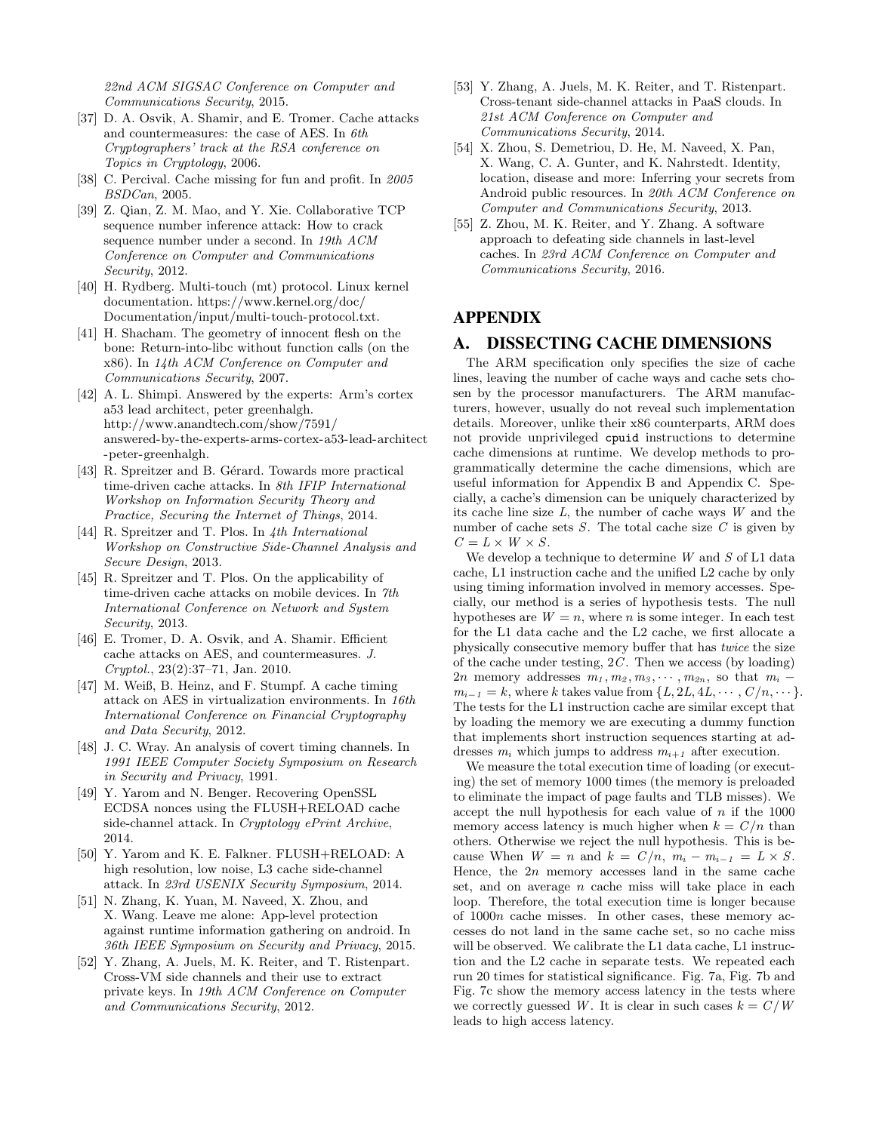22nd ACM SIGSAC Conference on Computer and Communications Security, 2015.

- [37] D. A. Osvik, A. Shamir, and E. Tromer. Cache attacks and countermeasures: the case of AES. In 6th Cryptographers' track at the RSA conference on Topics in Cryptology, 2006.
- [38] C. Percival. Cache missing for fun and profit. In  $2005$ BSDCan, 2005.
- [39] Z. Qian, Z. M. Mao, and Y. Xie. Collaborative TCP sequence number inference attack: How to crack sequence number under a second. In 19th ACM Conference on Computer and Communications Security, 2012.
- [40] H. Rydberg. Multi-touch (mt) protocol. Linux kernel documentation. https://www.kernel.org/doc/ Documentation/input/multi-touch-protocol.txt.
- [41] H. Shacham. The geometry of innocent flesh on the bone: Return-into-libc without function calls (on the x86). In 14th ACM Conference on Computer and Communications Security, 2007.
- [42] A. L. Shimpi. Answered by the experts: Arm's cortex a53 lead architect, peter greenhalgh. http://www.anandtech.com/show/7591/ answered-by-the-experts-arms-cortex-a53-lead-architect -peter-greenhalgh.
- [43] R. Spreitzer and B. Gérard. Towards more practical time-driven cache attacks. In 8th IFIP International Workshop on Information Security Theory and Practice, Securing the Internet of Things, 2014.
- [44] R. Spreitzer and T. Plos. In 4th International Workshop on Constructive Side-Channel Analysis and Secure Design, 2013.
- [45] R. Spreitzer and T. Plos. On the applicability of time-driven cache attacks on mobile devices. In 7th International Conference on Network and System Security, 2013.
- [46] E. Tromer, D. A. Osvik, and A. Shamir. Efficient cache attacks on AES, and countermeasures. J. Cryptol., 23(2):37–71, Jan. 2010.
- [47] M. Weiß, B. Heinz, and F. Stumpf. A cache timing attack on AES in virtualization environments. In 16th International Conference on Financial Cryptography and Data Security, 2012.
- [48] J. C. Wray. An analysis of covert timing channels. In 1991 IEEE Computer Society Symposium on Research in Security and Privacy, 1991.
- [49] Y. Yarom and N. Benger. Recovering OpenSSL ECDSA nonces using the FLUSH+RELOAD cache side-channel attack. In Cryptology ePrint Archive, 2014.
- [50] Y. Yarom and K. E. Falkner. FLUSH+RELOAD: A high resolution, low noise, L3 cache side-channel attack. In 23rd USENIX Security Symposium, 2014.
- [51] N. Zhang, K. Yuan, M. Naveed, X. Zhou, and X. Wang. Leave me alone: App-level protection against runtime information gathering on android. In 36th IEEE Symposium on Security and Privacy, 2015.
- [52] Y. Zhang, A. Juels, M. K. Reiter, and T. Ristenpart. Cross-VM side channels and their use to extract private keys. In 19th ACM Conference on Computer and Communications Security, 2012.
- [53] Y. Zhang, A. Juels, M. K. Reiter, and T. Ristenpart. Cross-tenant side-channel attacks in PaaS clouds. In 21st ACM Conference on Computer and Communications Security, 2014.
- [54] X. Zhou, S. Demetriou, D. He, M. Naveed, X. Pan, X. Wang, C. A. Gunter, and K. Nahrstedt. Identity, location, disease and more: Inferring your secrets from Android public resources. In 20th ACM Conference on Computer and Communications Security, 2013.
- [55] Z. Zhou, M. K. Reiter, and Y. Zhang. A software approach to defeating side channels in last-level caches. In 23rd ACM Conference on Computer and Communications Security, 2016.

## APPENDIX

#### A. DISSECTING CACHE DIMENSIONS

The ARM specification only specifies the size of cache lines, leaving the number of cache ways and cache sets chosen by the processor manufacturers. The ARM manufacturers, however, usually do not reveal such implementation details. Moreover, unlike their x86 counterparts, ARM does not provide unprivileged cpuid instructions to determine cache dimensions at runtime. We develop methods to programmatically determine the cache dimensions, which are useful information for Appendix B and Appendix C. Specially, a cache's dimension can be uniquely characterized by its cache line size  $L$ , the number of cache ways  $W$  and the number of cache sets  $S$ . The total cache size  $C$  is given by  $C = L \times W \times S$ .

We develop a technique to determine  $W$  and  $S$  of L1 data cache, L1 instruction cache and the unified L2 cache by only using timing information involved in memory accesses. Specially, our method is a series of hypothesis tests. The null hypotheses are  $W = n$ , where *n* is some integer. In each test for the L1 data cache and the L2 cache, we first allocate a physically consecutive memory buffer that has twice the size of the cache under testing, 2C. Then we access (by loading) 2n memory addresses  $m_1, m_2, m_3, \cdots, m_{2n}$ , so that  $m_i$  $m_{i-1} = k$ , where k takes value from  $\{L, 2L, 4L, \cdots, C/n, \cdots\}$ . The tests for the L1 instruction cache are similar except that by loading the memory we are executing a dummy function that implements short instruction sequences starting at addresses  $m_i$  which jumps to address  $m_{i+1}$  after execution.

We measure the total execution time of loading (or executing) the set of memory 1000 times (the memory is preloaded to eliminate the impact of page faults and TLB misses). We accept the null hypothesis for each value of  $n$  if the 1000 memory access latency is much higher when  $k = C/n$  than others. Otherwise we reject the null hypothesis. This is because When  $W = n$  and  $k = C/n$ ,  $m_i - m_{i-1} = L \times S$ . Hence, the  $2n$  memory accesses land in the same cache set, and on average  $n$  cache miss will take place in each loop. Therefore, the total execution time is longer because of 1000n cache misses. In other cases, these memory accesses do not land in the same cache set, so no cache miss will be observed. We calibrate the L1 data cache, L1 instruction and the L2 cache in separate tests. We repeated each run 20 times for statistical significance. Fig. 7a, Fig. 7b and Fig. 7c show the memory access latency in the tests where we correctly guessed W. It is clear in such cases  $k = C/W$ leads to high access latency.